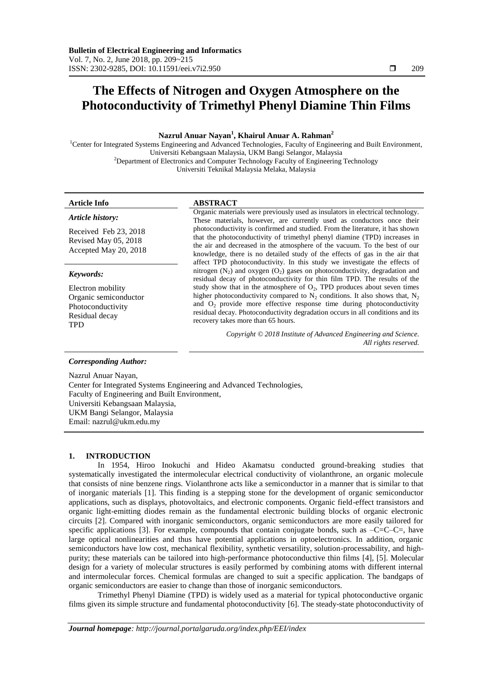# **The Effects of Nitrogen and Oxygen Atmosphere on the Photoconductivity of Trimethyl Phenyl Diamine Thin Films**

# **Nazrul Anuar Nayan<sup>1</sup> , Khairul Anuar A. Rahman<sup>2</sup>**

<sup>1</sup>Center for Integrated Systems Engineering and Advanced Technologies, Faculty of Engineering and Built Environment, Universiti Kebangsaan Malaysia, UKM Bangi Selangor, Malaysia <sup>2</sup>Department of Electronics and Computer Technology Faculty of Engineering Technology Universiti Teknikal Malaysia Melaka, Malaysia

# **Article Info ABSTRACT**

*Article history:*

Received Feb 23, 2018 Revised May 05, 2018 Accepted May 20, 2018

# *Keywords:*

Electron mobility Organic semiconductor Photoconductivity Residual decay TPD

Organic materials were previously used as insulators in electrical technology. These materials, however, are currently used as conductors once their photoconductivity is confirmed and studied. From the literature, it has shown that the photoconductivity of trimethyl phenyl diamine (TPD) increases in the air and decreased in the atmosphere of the vacuum. To the best of our knowledge, there is no detailed study of the effects of gas in the air that affect TPD photoconductivity. In this study we investigate the effects of nitrogen  $(N_2)$  and oxygen  $(O_2)$  gases on photoconductivity, degradation and residual decay of photoconductivity for thin film TPD. The results of the study show that in the atmosphere of  $O_2$ , TPD produces about seven times higher photoconductivity compared to  $N_2$  conditions. It also shows that,  $N_2$ and O2 provide more effective response time during photoconductivity residual decay. Photoconductivity degradation occurs in all conditions and its recovery takes more than 65 hours.

> *Copyright © 2018 Institute of Advanced Engineering and Science. All rights reserved.*

# *Corresponding Author:*

Nazrul Anuar Nayan, Center for Integrated Systems Engineering and Advanced Technologies, Faculty of Engineering and Built Environment, Universiti Kebangsaan Malaysia, UKM Bangi Selangor, Malaysia Email: nazrul@ukm.edu.my

# **1. INTRODUCTION**

In 1954, Hiroo Inokuchi and Hideo Akamatsu conducted ground-breaking studies that systematically investigated the intermolecular electrical conductivity of violanthrone, an organic molecule that consists of nine benzene rings. Violanthrone acts like a semiconductor in a manner that is similar to that of inorganic materials [1]. This finding is a stepping stone for the development of organic semiconductor applications, such as displays, photovoltaics, and electronic components. Organic field-effect transistors and organic light-emitting diodes remain as the fundamental electronic building blocks of organic electronic circuits [2]. Compared with inorganic semiconductors, organic semiconductors are more easily tailored for specific applications [3]. For example, compounds that contain conjugate bonds, such as  $-C=C-C=$ , have large optical nonlinearities and thus have potential applications in optoelectronics. In addition, organic semiconductors have low cost, mechanical flexibility, synthetic versatility, solution-processability, and highpurity; these materials can be tailored into high-performance photoconductive thin films [4], [5]. Molecular design for a variety of molecular structures is easily performed by combining atoms with different internal and intermolecular forces. Chemical formulas are changed to suit a specific application. The bandgaps of organic semiconductors are easier to change than those of inorganic semiconductors.

Trimethyl Phenyl Diamine (TPD) is widely used as a material for typical photoconductive organic films given its simple structure and fundamental photoconductivity [6]. The steady-state photoconductivity of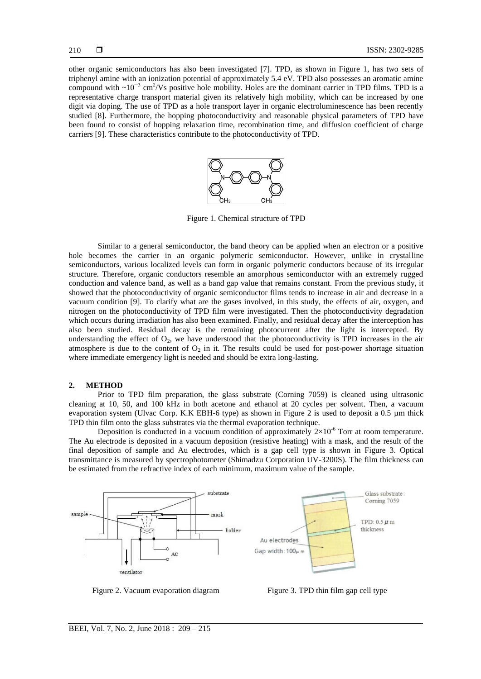other organic semiconductors has also been investigated [7]. TPD, as shown in Figure 1, has two sets of triphenyl amine with an ionization potential of approximately 5.4 eV. TPD also possesses an aromatic amine compound with  $\sim 10^{-3}$  cm<sup>2</sup>/Vs positive hole mobility. Holes are the dominant carrier in TPD films. TPD is a representative charge transport material given its relatively high mobility, which can be increased by one digit via doping. The use of TPD as a hole transport layer in organic electroluminescence has been recently studied [8]. Furthermore, the hopping photoconductivity and reasonable physical parameters of TPD have been found to consist of hopping relaxation time, recombination time, and diffusion coefficient of charge carriers [9]. These characteristics contribute to the photoconductivity of TPD.



Figure 1. Chemical structure of TPD

Similar to a general semiconductor, the band theory can be applied when an electron or a positive hole becomes the carrier in an organic polymeric semiconductor. However, unlike in crystalline semiconductors, various localized levels can form in organic polymeric conductors because of its irregular structure. Therefore, organic conductors resemble an amorphous semiconductor with an extremely rugged conduction and valence band, as well as a band gap value that remains constant. From the previous study, it showed that the photoconductivity of organic semiconductor films tends to increase in air and decrease in a vacuum condition [9]. To clarify what are the gases involved, in this study, the effects of air, oxygen, and nitrogen on the photoconductivity of TPD film were investigated. Then the photoconductivity degradation which occurs during irradiation has also been examined. Finally, and residual decay after the interception has also been studied. Residual decay is the remaining photocurrent after the light is intercepted. By understanding the effect of  $O_2$ , we have understood that the photoconductivity is TPD increases in the air atmosphere is due to the content of  $O_2$  in it. The results could be used for post-power shortage situation where immediate emergency light is needed and should be extra long-lasting.

### **2. METHOD**

Prior to TPD film preparation, the glass substrate (Corning 7059) is cleaned using ultrasonic cleaning at 10, 50, and 100 kHz in both acetone and ethanol at 20 cycles per solvent. Then, a vacuum evaporation system (Ulvac Corp. K.K EBH-6 type) as shown in Figure 2 is used to deposit a 0.5 µm thick TPD thin film onto the glass substrates via the thermal evaporation technique.

Deposition is conducted in a vacuum condition of approximately  $2\times10^{-6}$  Torr at room temperature. The Au electrode is deposited in a vacuum deposition (resistive heating) with a mask, and the result of the final deposition of sample and Au electrodes, which is a gap cell type is shown in Figure 3. Optical transmittance is measured by spectrophotometer (Shimadzu Corporation UV-3200S). The film thickness can be estimated from the refractive index of each minimum, maximum value of the sample.



Figure 2. Vacuum evaporation diagram Figure 3. TPD thin film gap cell type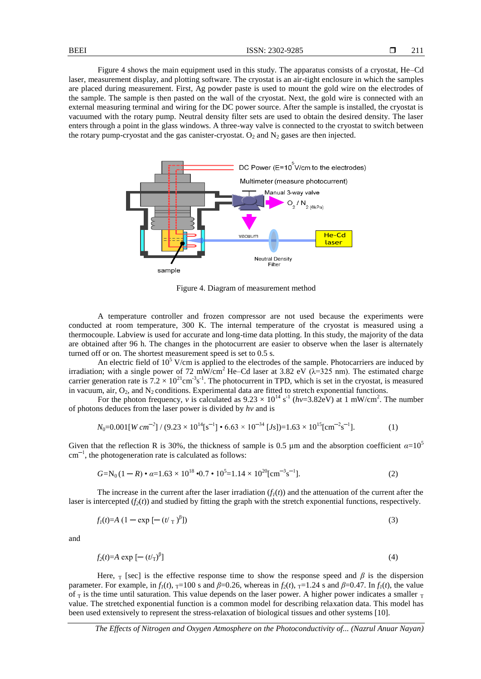Figure 4 shows the main equipment used in this study. The apparatus consists of a cryostat, He–Cd laser, measurement display, and plotting software. The cryostat is an air-tight enclosure in which the samples are placed during measurement. First, Ag powder paste is used to mount the gold wire on the electrodes of the sample. The sample is then pasted on the wall of the cryostat. Next, the gold wire is connected with an external measuring terminal and wiring for the DC power source. After the sample is installed, the cryostat is vacuumed with the rotary pump. Neutral density filter sets are used to obtain the desired density. The laser enters through a point in the glass windows. A three-way valve is connected to the cryostat to switch between the rotary pump-cryostat and the gas canister-cryostat.  $O_2$  and  $N_2$  gases are then injected.



Figure 4. Diagram of measurement method

A temperature controller and frozen compressor are not used because the experiments were conducted at room temperature, 300 K. The internal temperature of the cryostat is measured using a thermocouple. Labview is used for accurate and long-time data plotting. In this study, the majority of the data are obtained after 96 h. The changes in the photocurrent are easier to observe when the laser is alternately turned off or on. The shortest measurement speed is set to 0.5 s.

An electric field of  $10^5$  V/cm is applied to the electrodes of the sample. Photocarriers are induced by irradiation; with a single power of 72 mW/cm<sup>2</sup> He–Cd laser at 3.82 eV ( $\lambda$ =325 nm). The estimated charge carrier generation rate is  $7.2 \times 10^{21}$ cm<sup>-3</sup>s<sup>-1</sup>. The photocurrent in TPD, which is set in the cryostat, is measured in vacuum, air,  $O_2$ , and  $N_2$  conditions. Experimental data are fitted to stretch exponential functions.

For the photon frequency, *v* is calculated as  $9.23 \times 10^{14}$  s<sup>-1</sup> (*hv*=3.82eV) at 1 mW/cm<sup>2</sup>. The number of photons deduces from the laser power is divided by *hv* and is

$$
N_0 = 0.001[W \, cm^{-2}] / (9.23 \times 10^{14} [s^{-1}] \cdot 6.63 \times 10^{-34} [Js]) = 1.63 \times 10^{15} [cm^{-2} s^{-1}]. \tag{1}
$$

Given that the reflection R is 30%, the thickness of sample is 0.5  $\mu$ m and the absorption coefficient  $\alpha = 10^5$  $cm^{-1}$ , the photogeneration rate is calculated as follows:

$$
G = N_0 (1 - R) \cdot \alpha = 1.63 \times 10^{18} \cdot 0.7 \cdot 10^5 = 1.14 \times 10^{20} [\text{cm}^{-3} \text{s}^{-1}]. \tag{2}
$$

The increase in the current after the laser irradiation  $(f_1(t))$  and the attenuation of the current after the laser is intercepted  $(f_2(t))$  and studied by fitting the graph with the stretch exponential functions, respectively.

$$
f_l(t)=A\left(1-\exp\left[-\left(t\prime\right)\right]^{\beta}\right]
$$
\n
$$
\tag{3}
$$

and

$$
f_2(t)=A \exp\left[-\left(t/\tau\right)^{\beta}\right] \tag{4}
$$

Here,  $\tau$  [sec] is the effective response time to show the response speed and  $\beta$  is the dispersion parameter. For example, in  $f_1(t)$ ,  $T=100$  s and  $\beta=0.26$ , whereas in  $f_2(t)$ ,  $T=1.24$  s and  $\beta=0.47$ . In  $f_1(t)$ , the value of  $_T$  is the time until saturation. This value depends on the laser power. A higher power indicates a smaller  $_T$ value. The stretched exponential function is a common model for describing relaxation data. This model has been used extensively to represent the stress-relaxation of biological tissues and other systems [10].

*The Effects of Nitrogen and Oxygen Atmosphere on the Photoconductivity of... (Nazrul Anuar Nayan)*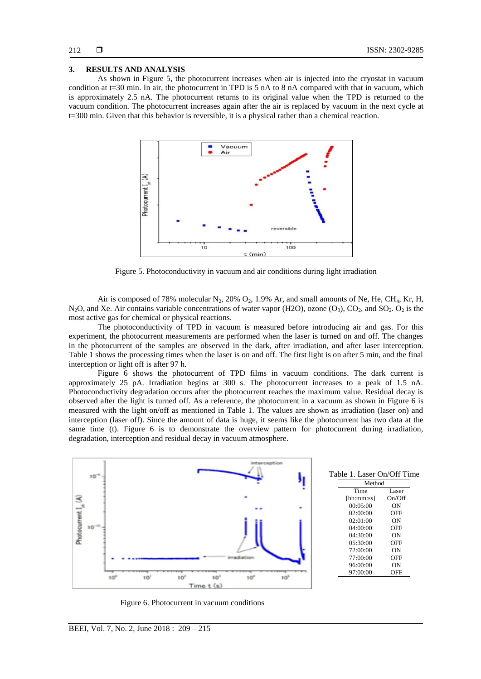### **3. RESULTS AND ANALYSIS**

As shown in Figure 5, the photocurrent increases when air is injected into the cryostat in vacuum condition at t=30 min. In air, the photocurrent in TPD is 5 nA to 8 nA compared with that in vacuum, which is approximately 2.5 nA. The photocurrent returns to its original value when the TPD is returned to the vacuum condition. The photocurrent increases again after the air is replaced by vacuum in the next cycle at t=300 min. Given that this behavior is reversible, it is a physical rather than a chemical reaction.



Figure 5. Photoconductivity in vacuum and air conditions during light irradiation

Air is composed of 78% molecular  $N_2$ , 20%  $O_2$ , 1.9% Ar, and small amounts of Ne, He, CH<sub>4</sub>, Kr, H, N<sub>2</sub>O, and Xe. Air contains variable concentrations of water vapor (H2O), ozone  $(O_3)$ ,  $CO_2$ , and SO<sub>2</sub>. O<sub>2</sub> is the most active gas for chemical or physical reactions.

The photoconductivity of TPD in vacuum is measured before introducing air and gas. For this experiment, the photocurrent measurements are performed when the laser is turned on and off. The changes in the photocurrent of the samples are observed in the dark, after irradiation, and after laser interception. Table 1 shows the processing times when the laser is on and off. The first light is on after 5 min, and the final interception or light off is after 97 h.

Figure 6 shows the photocurrent of TPD films in vacuum conditions. The dark current is approximately 25 pA. Irradiation begins at 300 s. The photocurrent increases to a peak of 1.5 nA. Photoconductivity degradation occurs after the photocurrent reaches the maximum value. Residual decay is observed after the light is turned off. As a reference, the photocurrent in a vacuum as shown in Figure 6 is measured with the light on/off as mentioned in Table 1. The values are shown as irradiation (laser on) and interception (laser off). Since the amount of data is huge, it seems like the photocurrent has two data at the same time (t). Figure 6 is to demonstrate the overview pattern for photocurrent during irradiation, degradation, interception and residual decay in vacuum atmosphere.



Figure 6. Photocurrent in vacuum conditions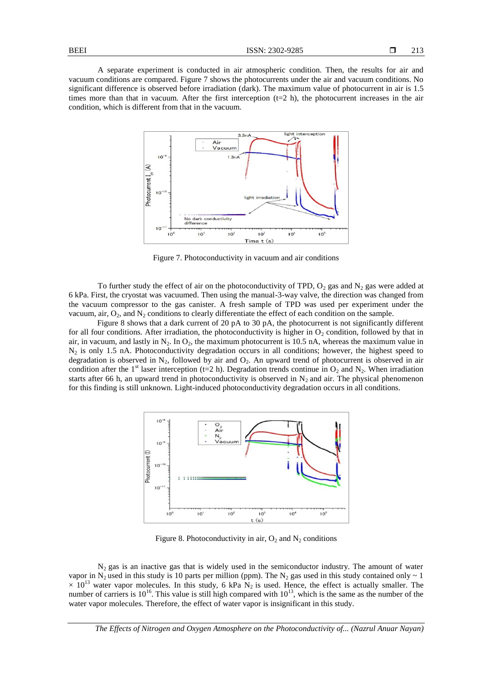A separate experiment is conducted in air atmospheric condition. Then, the results for air and vacuum conditions are compared. Figure 7 shows the photocurrents under the air and vacuum conditions. No significant difference is observed before irradiation (dark). The maximum value of photocurrent in air is 1.5 times more than that in vacuum. After the first interception  $(t=2 h)$ , the photocurrent increases in the air condition, which is different from that in the vacuum.



Figure 7. Photoconductivity in vacuum and air conditions

To further study the effect of air on the photoconductivity of TPD,  $O_2$  gas and  $N_2$  gas were added at 6 kPa. First, the cryostat was vacuumed. Then using the manual-3-way valve, the direction was changed from the vacuum compressor to the gas canister. A fresh sample of TPD was used per experiment under the vacuum, air,  $O_2$ , and  $N_2$  conditions to clearly differentiate the effect of each condition on the sample.

Figure 8 shows that a dark current of 20 pA to 30 pA, the photocurrent is not significantly different for all four conditions. After irradiation, the photoconductivity is higher in  $O<sub>2</sub>$  condition, followed by that in air, in vacuum, and lastly in  $N_2$ . In  $O_2$ , the maximum photocurrent is 10.5 nA, whereas the maximum value in  $N_2$  is only 1.5 nA. Photoconductivity degradation occurs in all conditions; however, the highest speed to degradation is observed in  $N_2$ , followed by air and  $O_2$ . An upward trend of photocurrent is observed in air condition after the 1<sup>st</sup> laser interception (t=2 h). Degradation trends continue in  $O_2$  and  $N_2$ . When irradiation starts after 66 h, an upward trend in photoconductivity is observed in  $N_2$  and air. The physical phenomenon for this finding is still unknown. Light-induced photoconductivity degradation occurs in all conditions.



Figure 8. Photoconductivity in air,  $O_2$  and  $N_2$  conditions

 $N_2$  gas is an inactive gas that is widely used in the semiconductor industry. The amount of water vapor in N<sub>2</sub> used in this study is 10 parts per million (ppm). The N<sub>2</sub> gas used in this study contained only  $\sim$  1  $\times$  10<sup>13</sup> water vapor molecules. In this study, 6 kPa N<sub>2</sub> is used. Hence, the effect is actually smaller. The number of carriers is  $10^{16}$ . This value is still high compared with  $10^{13}$ , which is the same as the number of the water vapor molecules. Therefore, the effect of water vapor is insignificant in this study.

*The Effects of Nitrogen and Oxygen Atmosphere on the Photoconductivity of... (Nazrul Anuar Nayan)*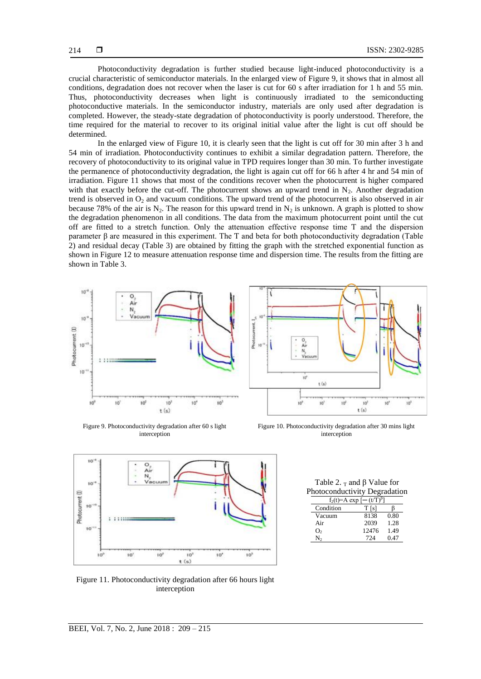Photoconductivity degradation is further studied because light-induced photoconductivity is a crucial characteristic of semiconductor materials. In the enlarged view of Figure 9, it shows that in almost all conditions, degradation does not recover when the laser is cut for 60 s after irradiation for 1 h and 55 min. Thus, photoconductivity decreases when light is continuously irradiated to the semiconducting photoconductive materials. In the semiconductor industry, materials are only used after degradation is completed. However, the steady-state degradation of photoconductivity is poorly understood. Therefore, the time required for the material to recover to its original initial value after the light is cut off should be determined.

In the enlarged view of Figure 10, it is clearly seen that the light is cut off for 30 min after 3 h and 54 min of irradiation. Photoconductivity continues to exhibit a similar degradation pattern. Therefore, the recovery of photoconductivity to its original value in TPD requires longer than 30 min. To further investigate the permanence of photoconductivity degradation, the light is again cut off for 66 h after 4 hr and 54 min of irradiation. Figure 11 shows that most of the conditions recover when the photocurrent is higher compared with that exactly before the cut-off. The photocurrent shows an upward trend in  $N_2$ . Another degradation trend is observed in  $O<sub>2</sub>$  and vacuum conditions. The upward trend of the photocurrent is also observed in air because 78% of the air is N<sub>2</sub>. The reason for this upward trend in N<sub>2</sub> is unknown. A graph is plotted to show the degradation phenomenon in all conditions. The data from the maximum photocurrent point until the cut off are fitted to a stretch function. Only the attenuation effective response time  $T$  and the dispersion parameter β are measured in this experiment. The T and beta for both photoconductivity degradation (Table 2) and residual decay (Table 3) are obtained by fitting the graph with the stretched exponential function as shown in Figure 12 to measure attenuation response time and dispersion time. The results from the fitting are shown in Table 3.



Figure 9. Photoconductivity degradation after 60 s light interception



Figure 10. Photoconductivity degradation after 30 mins light interception



Figure 11. Photoconductivity degradation after 66 hours light interception

Table 2.  $<sub>T</sub>$  and  $\beta$  Value for</sub> Photoconductivity Degradation

| $f_2(t)=A \exp \left[-(t/T)^{\beta}\right]$ |       |      |
|---------------------------------------------|-------|------|
| Condition                                   | T [s] |      |
| Vacuum                                      | 8138  | 0.80 |
| Air                                         | 2039  | 1.28 |
| O,                                          | 12476 | 1.49 |
| N.                                          | 724   | 0.47 |